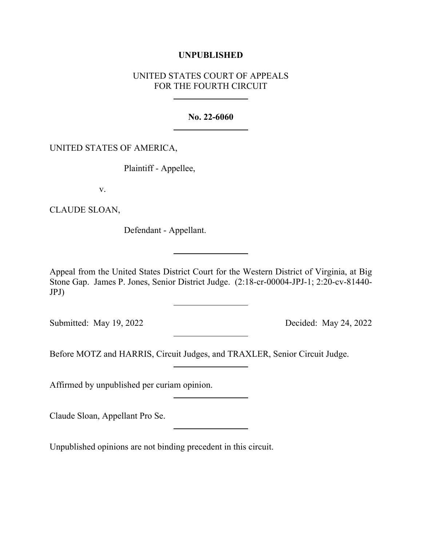## **UNPUBLISHED**

# UNITED STATES COURT OF APPEALS FOR THE FOURTH CIRCUIT

### **No. 22-6060**

## UNITED STATES OF AMERICA,

Plaintiff - Appellee,

v.

CLAUDE SLOAN,

Defendant - Appellant.

Appeal from the United States District Court for the Western District of Virginia, at Big Stone Gap. James P. Jones, Senior District Judge. (2:18-cr-00004-JPJ-1; 2:20-cv-81440- JPJ)

Submitted: May 19, 2022 Decided: May 24, 2022

Before MOTZ and HARRIS, Circuit Judges, and TRAXLER, Senior Circuit Judge.

Affirmed by unpublished per curiam opinion.

Claude Sloan, Appellant Pro Se.

Unpublished opinions are not binding precedent in this circuit.